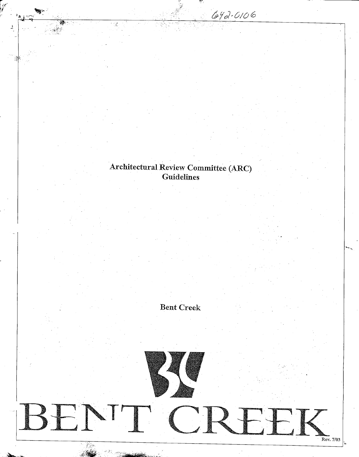## Architectural Review Committee (ARC) enen Con<br>Fuidelines

्र

BEN

642-0106

*If*

Bent Creek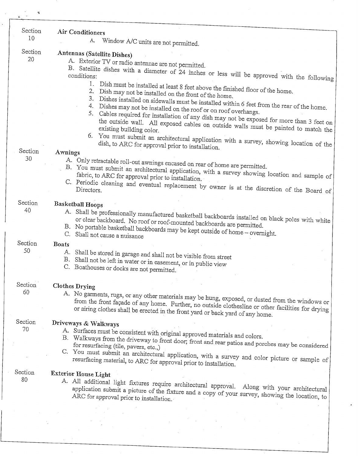| Section<br>10 | Air Conditioners<br>A.<br>Window A/C units are not permitted.                                                                                                                                                                                                                                                                     |
|---------------|-----------------------------------------------------------------------------------------------------------------------------------------------------------------------------------------------------------------------------------------------------------------------------------------------------------------------------------|
| Section       | Antennas (Satellite Dishes)                                                                                                                                                                                                                                                                                                       |
| 20            | A. Exterior TV or radio antennae are not permitted.<br>B. Satellite dishes with a diameter of 24 inches or less will be approved with the following<br>1.                                                                                                                                                                         |
|               | Dish must be installed at least 8 feet above the finished floor of the home.<br>2.<br>Dish may not be installed on the front of the home.<br>3.<br>Dishes installed on sidewalls must be installed within 6 feet from the rear of the home.<br>4.<br>Dishes may not be installed on the roof or on roof overhangs.<br>5.          |
|               | Cables required for installation of any dish may not be exposed for more than 3 feet on<br>the outside wall. All exposed cables on outside walls must be painted to match the<br>existing building color.<br>6.<br>You must submit an architectural application with a survey, showing location of the                            |
| Section       | dish, to ARC for approval prior to installation.<br>Awnings                                                                                                                                                                                                                                                                       |
| 30            | A. Only retractable roll-out awnings encased on rear of home are permitted.<br>B. You must submit an architectural application, with a survey showing location and sample of<br>fabric, to ARC for approval prior to installation.<br>C. Periodic cleaning and eventual replacement by owner is at the discretion of the Board of |
| Section       | <b>Basketball Hoops</b>                                                                                                                                                                                                                                                                                                           |
| 40            | A. Shall be professionally manufactured basketball backboards installed on black poles with white<br>or clear backboard. No roof or roof-mounted backboards are permitted.<br>B. No portable basketball backboards may be kept outside of home - overnight.<br>C. Shall not cause a nuisance                                      |
| Section       | <b>Boats</b>                                                                                                                                                                                                                                                                                                                      |
| 50            | A. Shall be stored in garage and shall not be visible from street<br>B. Shall not be left in water or in easement, or in public view<br>C. Boathouses or docks are not permitted.                                                                                                                                                 |
| Section       | <b>Clothes Drying</b>                                                                                                                                                                                                                                                                                                             |
| 60            | A. No garments, rugs, or any other materials may be hung, exposed, or dusted from the windows or<br>from the front façade of any home. Further, no outside clothesline or other facilities for drying<br>or airing clothes shall be erected in the front yard or back yard of any home.                                           |
| Section<br>70 | Driveways & Walkways                                                                                                                                                                                                                                                                                                              |
|               | A. Surfaces must be consistent with original approved materials and colors.<br>B. Walkways from the driveway to front door; front and rear patios and porches may be considered<br>for resurfacing (tile, pavers, etc.,)                                                                                                          |
|               | C. You must submit an architectural application, with a survey and color picture or sample of<br>resurfacing material, to ARC for approval prior to installation.                                                                                                                                                                 |
| Section<br>80 | <b>Exterior House Light</b><br>A. All additional light fixtures require architectural approval. Along with your architectural<br>application submit a picture of the fixture and a copy of your survey, showing the location, to<br>ARC for approval prior to installation.                                                       |
|               |                                                                                                                                                                                                                                                                                                                                   |
|               |                                                                                                                                                                                                                                                                                                                                   |
|               |                                                                                                                                                                                                                                                                                                                                   |

 $\bar{\mathcal{A}}$ 

 $\ddot{\cdot}$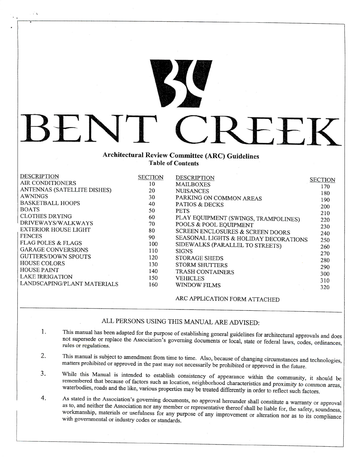## **Architectura l Revie w Committee (ARC) Guidelines Table of Contents**

T

BEN

ंद

*vs*

| <b>DESCRIPTION</b>            | <b>SECTION</b> | <b>DESCRIPTION</b>                    | <b>SECTION</b> |
|-------------------------------|----------------|---------------------------------------|----------------|
| AIR CONDITIONERS              | 10             | <b>MAILBOXES</b>                      | 170            |
| ANTENNAS (SATELLITE DISHES)   | 20             | <b>NUISANCES</b>                      | 180            |
| <b>AWNINGS</b>                | 30             | PARKING ON COMMON AREAS               |                |
| <b>BASKETBALL HOOPS</b>       | 40             | <b>PATIOS &amp; DECKS</b>             | 190            |
| <b>BOATS</b>                  | 50             | <b>PETS</b>                           | 200            |
| <b>CLOTHES DRYING</b>         | 60             | PLAY EQUIPMENT (SWINGS, TRAMPOLINES)  | 210            |
| DRIVEWAYS/WALKWAYS            | 70             | POOLS & POOL EQUIPMENT                | 220            |
| EXTERIOR HOUSE LIGHT          | 80             |                                       | 230            |
| <b>FENCES</b>                 |                | SCREEN ENCLOSURES & SCREEN DOORS      | 240            |
| <b>FLAG POLES &amp; FLAGS</b> | 90             | SEASONAL LIGHTS & HOLIDAY DECORATIONS | 250            |
|                               | 100            | SIDEWALKS (PARALLEL TO STREETS)       | 260            |
| <b>GARAGE CONVERSIONS</b>     | 110            | <b>SIGNS</b>                          | 270            |
| <b>GUTTERS/DOWN SPOUTS</b>    | 120            | <b>STORAGE SHEDS</b>                  | 280            |
| <b>HOUSE COLORS</b>           | 130            | <b>STORM SHUTTERS</b>                 | 290            |
| <b>HOUSE PAINT</b>            | 140            | <b>TRASH CONTAINERS</b>               | 300            |
| <b>LAKE IRRIGATION</b>        | 150            | <b>VEHICLES</b>                       |                |
| LANDSCAPING/PLANT MATERIALS   | 160            | WINDOW FILMS                          | 310            |
|                               |                |                                       | 320            |
|                               |                |                                       |                |

ARC APPLICATION FORM ATTACHED

 $-$ 

K

## ALL PERSONS USING THIS MANUAL ARE ADVISED:

- This manual has been adapted for the purpose of establishing general guidelines for architectural approvals and does 1. t supersede or replace the Association's governing documents or local, state or federal approvals and does  $r_{\text{res}}$  regulations.
- 2. This manual is subject to amendment from time to time. Also, because of changing circumstances and technologies, matters prohibited or approved in the past may not necessarily be prohibited or approved in the future.
- While this Manual is intended to establish consistency of appearance within the community, it should be  $3.$ remembered that because of factors such as location, neighborhood characteristics and proximity to common areas, waterbodies, roads and the like, various properties may be treated differently in order to reflect such factors.
- 4. As stated in the Association's governing documents, no approval hereunder shall constitute a warranty or approval 4. as to, and neither the Association nor any member or representative thereof shall be liable for, the safety, soundness, workmanship, materials or usefulness for any purpose of any improvement or alteration nor as to its compliance with governmental or industry codes or standards.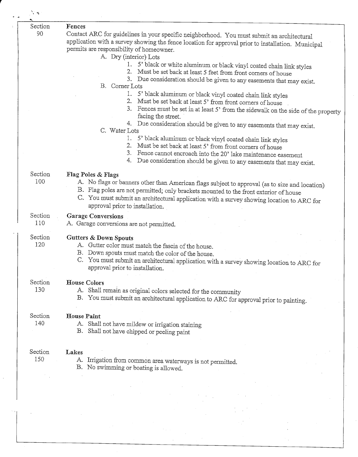| $\mathcal{L}$  |                                                                                                                                                                                                                                                                                                                                               |
|----------------|-----------------------------------------------------------------------------------------------------------------------------------------------------------------------------------------------------------------------------------------------------------------------------------------------------------------------------------------------|
| Section        | Fences                                                                                                                                                                                                                                                                                                                                        |
| 90             | Contact ARC for guidelines in your specific neighborhood. You must submit an architectural<br>application with a survey showing the fence location for approval prior to installation. Municipal<br>permits are responsibility of homeowner.<br>A. Dry (interior) Lots                                                                        |
|                | 5' black or white aluminum or black vinyl coated chain link styles<br>1.<br>Must be set back at least 5 feet from front corners of house<br>3. Due consideration should be given to any easements that may exist.                                                                                                                             |
|                | B. Corner Lots<br>1.<br>5' black aluminum or black vinyl coated chain link styles<br>Must be set back at least 5' from front corners of house<br>3.<br>Fences must be set in at least 5' from the sidewalk on the side of the property                                                                                                        |
|                | facing the street.<br>4. Due consideration should be given to any easements that may exist.<br>C. Water Lots                                                                                                                                                                                                                                  |
|                | 5' black aluminum or black vinyl coated chain link styles<br>2.<br>Must be set back at least 5' from front corners of house<br>3.<br>Fence cannot encroach into the 20' lake maintenance easement<br>4.<br>Due consideration should be given to any easements that may exist.                                                                 |
| Section<br>100 | Flag Poles & Flags<br>A. No flags or banners other than American flags subject to approval (as to size and location)<br>B. Flag poles are not permitted; only brackets mounted to the front exterior of house<br>C. You must submit an architectural application with a survey showing location to ARC for<br>approval prior to installation. |
| Section<br>110 | <b>Garage Conversions</b><br>A. Garage conversions are not permitted.                                                                                                                                                                                                                                                                         |
| Section<br>120 | <b>Gutters &amp; Down Spouts</b><br>A. Gutter color must match the fascia of the house.<br>B. Down spouts must match the color of the house.<br>C. You must submit an architectural application with a survey showing location to ARC for<br>approval prior to installation.                                                                  |
| Section<br>130 | <b>House Colors</b><br>A. Shall remain as original colors selected for the community<br>B. You must submit an architectural application to ARC for approval prior to painting.                                                                                                                                                                |
| Section<br>140 | <b>House Paint</b><br>A. Shall not have mildew or irrigation staining<br>B. Shall not have chipped or peeling paint                                                                                                                                                                                                                           |
| Section<br>150 | Lakes<br>A. Irrigation from common area waterways is not permitted.<br>B. No swimming or boating is allowed.                                                                                                                                                                                                                                  |
|                |                                                                                                                                                                                                                                                                                                                                               |

J.

 $\mathbf{r}$ 

 $\mathcal{L}$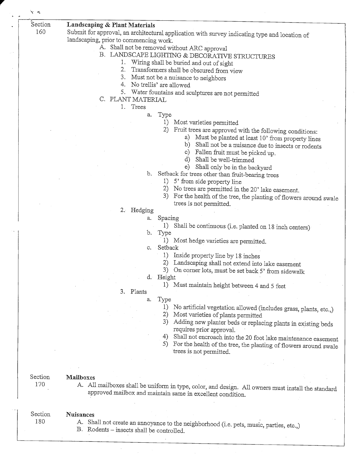| Section | Landscaping & Plant Materials                                                                                                        |
|---------|--------------------------------------------------------------------------------------------------------------------------------------|
| 160     | Submit for approval, an architectural application with survey indicating type and location of                                        |
|         | landscaping, prior to commencing work.                                                                                               |
|         | A. Shall not be removed without ARC approval                                                                                         |
|         | B. LANDSCAPE LIGHTING & DECORATIVE STRUCTURES                                                                                        |
|         | Wiring shall be buried and out of sight                                                                                              |
|         | 2.<br>Transformers shall be obscured from view                                                                                       |
|         | 3.<br>Must not be a nuisance to neighbors                                                                                            |
|         | 4.<br>No trellis' are allowed                                                                                                        |
|         | 5.<br>Water fountains and sculptures are not permitted                                                                               |
|         | C. PLANT MATERIAL<br>1. Trees                                                                                                        |
|         |                                                                                                                                      |
|         | Type<br>a.<br>1)<br>Most varieties permitted                                                                                         |
|         | 2)                                                                                                                                   |
|         | Fruit trees are approved with the following conditions:<br>Must be planted at least 10' from property lines<br>a)                    |
|         | Shall not be a nuisance due to insects or rodents<br>b)                                                                              |
|         | Fallen fruit must be picked up.<br>$\circ)$                                                                                          |
|         | Shall be well-trimmed<br>d)                                                                                                          |
|         | $\epsilon$<br>Shall only be in the backyard                                                                                          |
|         | b.<br>Setback for trees other than fruit-bearing trees                                                                               |
|         | 1)<br>5' from side property line                                                                                                     |
|         | 2)<br>No trees are permitted in the 20' lake easement.                                                                               |
|         | 3)<br>For the health of the tree, the planting of flowers around swale                                                               |
|         | trees is not permitted.                                                                                                              |
|         | 2. Hedging                                                                                                                           |
|         | Spacing<br>a.<br>1)                                                                                                                  |
|         | Shall be continuous (i.e. planted on 18 inch centers)<br>Type<br>b.                                                                  |
|         | Most hedge varieties are permitted.<br>1)                                                                                            |
|         | Setback<br>$c_{\cdot}$                                                                                                               |
|         | Inside property line by 18 inches<br>1)                                                                                              |
|         | 2)<br>Landscaping shall not extend into lake easement                                                                                |
|         | 3)<br>On corner lots, must be set back 5' from sidewalk                                                                              |
|         | d. Height                                                                                                                            |
|         | 1) Must maintain height between 4 and 5 feet                                                                                         |
|         | 3. Plants                                                                                                                            |
|         | Type<br>a.<br>1)                                                                                                                     |
|         | No artificial vegetation allowed (includes grass, plants, etc.,)<br>2)<br>Most varieties of plants permitted                         |
|         | 3)<br>Adding new planter beds or replacing plants in existing beds                                                                   |
|         | requires prior approval.                                                                                                             |
|         | Shall not encroach into the 20 foot lake maintenance easement<br>4)                                                                  |
|         | 5)<br>For the health of the tree, the planting of flowers around swale                                                               |
|         | trees is not permitted.                                                                                                              |
|         |                                                                                                                                      |
|         |                                                                                                                                      |
| Section | Mailboxes                                                                                                                            |
| 170     | A. All mailboxes shall be uniform in type, color, and design. All owners must install the standard                                   |
|         | approved mailbox and maintain same in excellent condition.                                                                           |
|         |                                                                                                                                      |
| Section |                                                                                                                                      |
| 180     | <b>Nuisances</b>                                                                                                                     |
|         | A. Shall not create an annoyance to the neighborhood (i.e. pets, music, parties, etc.,)<br>B. Rodents – insects shall be controlled. |
|         |                                                                                                                                      |
|         |                                                                                                                                      |

 $\tilde{\mathbf{z}}$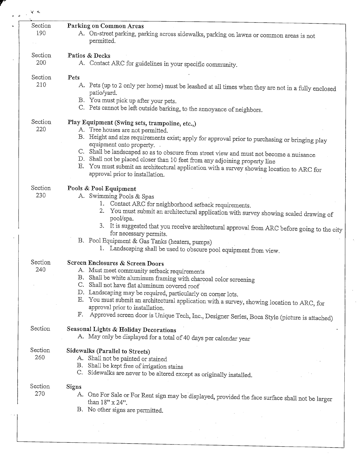| Section | Parking on Common Areas                                                                            |
|---------|----------------------------------------------------------------------------------------------------|
| 190     | A. On-street parking, parking across sidewalks, parking on lawns or common areas is not            |
|         | permitted.                                                                                         |
|         |                                                                                                    |
| Section | Patios & Decks                                                                                     |
| 200     | A. Contact ARC for guidelines in your specific community.                                          |
|         |                                                                                                    |
| Section | Pets                                                                                               |
| 210     | A. Pets (up to 2 only per home) must be leashed at all times when they are not in a fully enclosed |
|         | patio/yard.                                                                                        |
|         | B. You must pick up after your pets.                                                               |
|         | C. Pets cannot be left outside barking, to the annoyance of neighbors.                             |
|         |                                                                                                    |
| Section | Play Equipment (Swing sets, trampoline, etc.,)                                                     |
| 220     | A. Tree houses are not permitted.                                                                  |
|         | B. Height and size requirements exist; apply for approval prior to purchasing or bringing play     |
|         | equipment onto property.                                                                           |
|         | C. Shall be landscaped so as to obscure from street view and must not become a nuisance            |
|         | D. Shall not be placed closer than 10 feet from any adjoining property line                        |
|         | Ε.<br>You must submit an architectural application with a survey showing location to ARC for       |
|         | approval prior to installation.                                                                    |
|         |                                                                                                    |
| Section | Pools & Pool Equipment                                                                             |
| 230     | A. Swimming Pools & Spas                                                                           |
|         | 1. Contact ARC for neighborhood setback requirements.                                              |
|         | You must submit an architectural application with survey showing scaled drawing of<br>2.           |
|         | pool/spa.                                                                                          |
|         | 3. It is suggested that you receive architectural approval from ARC before going to the city       |
|         | for necessary permits.                                                                             |
|         | B. Pool Equipment & Gas Tanks (heaters, pumps)                                                     |
|         | 1. Landscaping shall be used to obscure pool equipment from view.                                  |
|         |                                                                                                    |
| Section | Screen Enclosures & Screen Doors                                                                   |
| 240     | A. Must meet community setback requirements                                                        |
|         | B. Shall be white aluminum framing with charcoal color screening                                   |
|         | C. Shall not have flat aluminum covered roof                                                       |
|         | D. Landscaping may be required, particularly on corner lots.                                       |
|         | E. You must submit an architectural application with a survey, showing location to ARC, for        |
|         | approval prior to installation.                                                                    |
|         | F.<br>Approved screen door is Unique Tech, Inc., Designer Series, Boca Style (picture is attached) |
|         |                                                                                                    |
| Section | Seasonal Lights & Holiday Decorations                                                              |
|         | A. May only be displayed for a total of 40 days per calendar year                                  |
|         |                                                                                                    |
| Section | Sidewalks (Parallel to Streets)                                                                    |
| 260     | A. Shall not be painted or stained                                                                 |
|         | B. Shall be kept free of irrigation stains                                                         |
|         | C. Sidewalks are never to be altered except as originally installed.                               |
| Section |                                                                                                    |
| 270     | Signs                                                                                              |
|         | A. One For Sale or For Rent sign may be displayed, provided the face surface shall not be larger   |
|         | than $18" \times 24"$ .                                                                            |
|         | B. No other signs are permitted.                                                                   |
|         |                                                                                                    |
|         |                                                                                                    |

 $\hat{\boldsymbol{\beta}}$ 

 $\hat{\mathcal{A}}$ 

ΥŚ